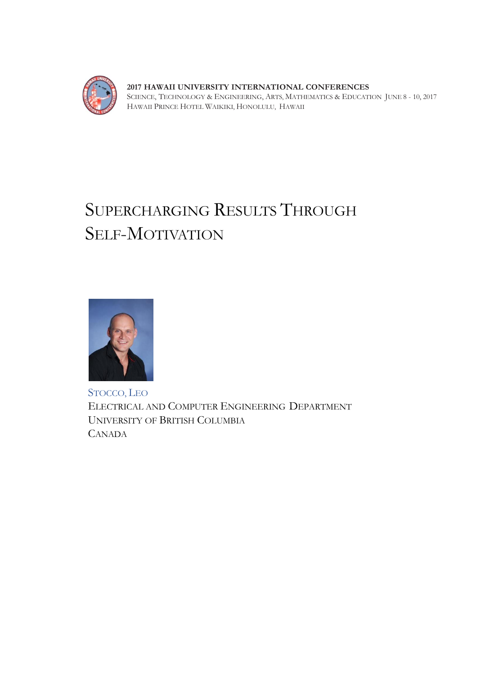

**2017 HAWAII UNIVERSITY INTERNATIONAL CONFERENCES**  SCIENCE, TECHNOLOGY & ENGINEERING, ARTS, MATHEMATICS & EDUCATION JUNE 8 - 10, 2017 HAWAII PRINCE HOTEL WAIKIKI, HONOLULU, HAWAII

# SUPERCHARGING RESULTS THROUGH SELF-MOTIVATION



STOCCO, LEO ELECTRICAL AND COMPUTER ENGINEERING DEPARTMENT UNIVERSITY OF BRITISH COLUMBIA CANADA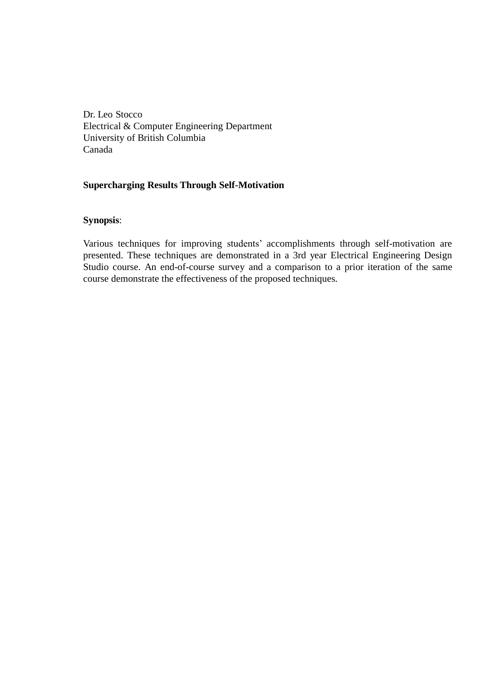Dr. Leo Stocco Electrical & Computer Engineering Department University of British Columbia Canada

# **Supercharging Results Through Self-Motivation**

# **Synopsis**:

Various techniques for improving students' accomplishments through self-motivation are presented. These techniques are demonstrated in a 3rd year Electrical Engineering Design Studio course. An end-of-course survey and a comparison to a prior iteration of the same course demonstrate the effectiveness of the proposed techniques.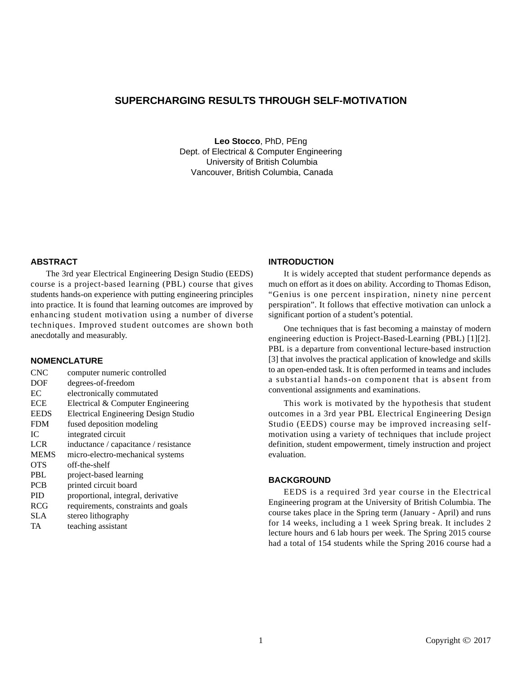# **SUPERCHARGING RESULTS THROUGH SELF-MOTIVATION**

**Leo Stocco**, PhD, PEng Dept. of Electrical & Computer Engineering University of British Columbia Vancouver, British Columbia, Canada

#### **ABSTRACT**

The 3rd year Electrical Engineering Design Studio (EEDS) course is a project-based learning (PBL) course that gives students hands-on experience with putting engineering principles into practice. It is found that learning outcomes are improved by enhancing student motivation using a number of diverse techniques. Improved student outcomes are shown both anecdotally and measurably.

# **NOMENCLATURE**

| <b>CNC</b>  | computer numeric controlled                 |
|-------------|---------------------------------------------|
| <b>DOF</b>  | degrees-of-freedom                          |
| EC          | electronically commutated                   |
| <b>ECE</b>  | Electrical & Computer Engineering           |
| <b>EEDS</b> | <b>Electrical Engineering Design Studio</b> |
| <b>FDM</b>  | fused deposition modeling                   |
| IС          | integrated circuit                          |
| <b>LCR</b>  | inductance / capacitance / resistance       |
| <b>MEMS</b> | micro-electro-mechanical systems            |
| <b>OTS</b>  | off-the-shelf                               |
| <b>PBL</b>  | project-based learning                      |
| <b>PCB</b>  | printed circuit board                       |
| <b>PID</b>  | proportional, integral, derivative          |
| <b>RCG</b>  | requirements, constraints and goals         |
| SLA         | stereo lithography                          |
| TA          | teaching assistant                          |
|             |                                             |

#### **INTRODUCTION**

It is widely accepted that student performance depends as much on effort as it does on ability. According to Thomas Edison, "Genius is one percent inspiration, ninety nine percent perspiration". It follows that effective motivation can unlock a significant portion of a student's potential.

One techniques that is fast becoming a mainstay of modern engineering eduction is Project-Based-Learning (PBL) [1][2]. PBL is a departure from conventional lecture-based instruction [3] that involves the practical application of knowledge and skills to an open-ended task. It is often performed in teams and includes a substantial hands-on component that is absent from conventional assignments and examinations.

This work is motivated by the hypothesis that student outcomes in a 3rd year PBL Electrical Engineering Design Studio (EEDS) course may be improved increasing selfmotivation using a variety of techniques that include project definition, student empowerment, timely instruction and project evaluation.

# **BACKGROUND**

EEDS is a required 3rd year course in the Electrical Engineering program at the University of British Columbia. The course takes place in the Spring term (January - April) and runs for 14 weeks, including a 1 week Spring break. It includes 2 lecture hours and 6 lab hours per week. The Spring 2015 course had a total of 154 students while the Spring 2016 course had a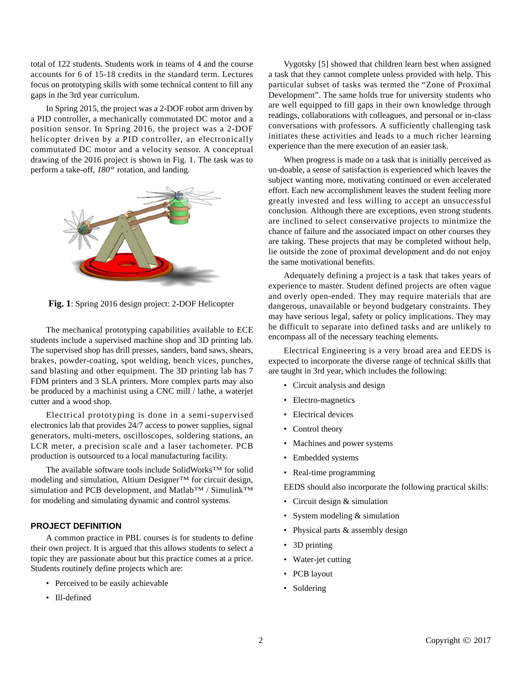total of 122 students. Students work in teams of 4 and the course accounts for 6 of 15-18 credits in the standard term. Lectures focus on prototyping skills with some technical content to fill any gaps in the 3rd year curriculum.

In Spring 2015, the project was a 2-DOF robot arm driven by a PID controller, a mechanically commutated DC motor and a position sensor. In Spring 2016, the project was a 2-DOF helicopter driven by a PID controller, an electronically commutated DC motor and a velocity sensor. A conceptual drawing of the 2016 project is shown in Fig. 1. The task was to perform a take-off, *180°* rotation, and landing.



**Fig. 1**: Spring 2016 design project: 2-DOF Helicopter

The mechanical prototyping capabilities available to ECE students include a supervised machine shop and 3D printing lab. The supervised shop has drill presses, sanders, band saws, shears, brakes, powder-coating, spot welding, bench vices, punches, sand blasting and other equipment. The 3D printing lab has 7 FDM printers and 3 SLA printers. More complex parts may also be produced by a machinist using a CNC mill / lathe, a waterjet cutter and a wood shop.

Electrical prototyping is done in a semi-supervised electronics lab that provides 24/7 access to power supplies, signal generators, multi-meters, oscilloscopes, soldering stations, an LCR meter, a precision scale and a laser tachometer. PCB production is outsourced to a local manufacturing facility.

The available software tools include SolidWorks<sup>TM</sup> for solid modeling and simulation, Altium Designer<sup>TM</sup> for circuit design, simulation and PCB development, and Matlab<sup>TM</sup> / Simulink<sup>TM</sup> for modeling and simulating dynamic and control systems.

# **PROJECT DEFINITION**

A common practice in PBL courses is for students to define their own project. It is argued that this allows students to select a topic they are passionate about but this practice comes at a price. Students routinely define projects which are:

- Perceived to be easily achievable
- Ill-defined

Vygotsky [5] showed that children learn best when assigned a task that they cannot complete unless provided with help. This particular subset of tasks was termed the "Zone of Proximal Development". The same holds true for university students who are well equipped to fill gaps in their own knowledge through readings, collaborations with colleagues, and personal or in-class conversations with professors. A sufficiently challenging task initiates these activities and leads to a much richer learning experience than the mere execution of an easier task.

When progress is made on a task that is initially perceived as un-doable, a sense of satisfaction is experienced which leaves the subject wanting more, motivating continued or even accelerated effort. Each new accomplishment leaves the student feeling more greatly invested and less willing to accept an unsuccessful conclusion. Although there are exceptions, even strong students are inclined to select conservative projects to minimize the chance of failure and the associated impact on other courses they are taking. These projects that may be completed without help, lie outside the zone of proximal development and do not enjoy the same motivational benefits.

Adequately defining a project is a task that takes years of experience to master. Student defined projects are often vague and overly open-ended. They may require materials that are dangerous, unavailable or beyond budgetary constraints. They may have serious legal, safety or policy implications. They may be difficult to separate into defined tasks and are unlikely to encompass all of the necessary teaching elements.

Electrical Engineering is a very broad area and EEDS is expected to incorporate the diverse range of technical skills that are taught in 3rd year, which includes the following:

- Circuit analysis and design
- Electro-magnetics
- Electrical devices
- Control theory
- Machines and power systems
- Embedded systems
- Real-time programming

EEDS should also incorporate the following practical skills:

- Circuit design & simulation
- System modeling  $&$  simulation
- Physical parts & assembly design
- 3D printing
- Water-jet cutting
- PCB layout
- Soldering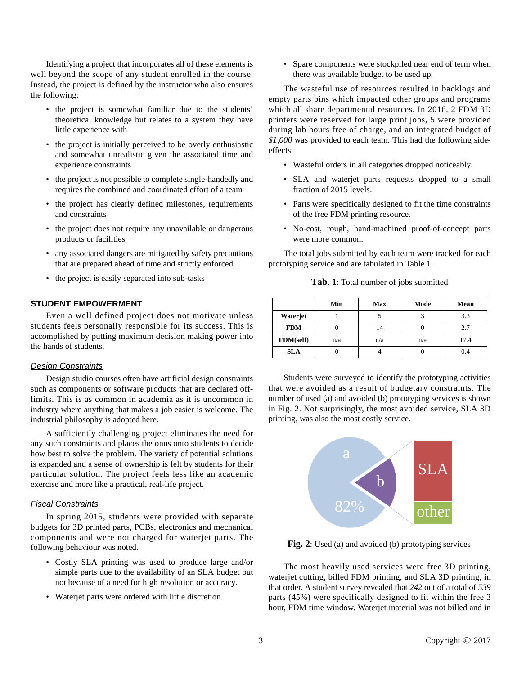Identifying a project that incorporates all of these elements is well beyond the scope of any student enrolled in the course. Instead, the project is defined by the instructor who also ensures the following:

- the project is somewhat familiar due to the students' theoretical knowledge but relates to a system they have little experience with
- the project is initially perceived to be overly enthusiastic and somewhat unrealistic given the associated time and experience constraints
- the project is not possible to complete single-handedly and requires the combined and coordinated effort of a team
- the project has clearly defined milestones, requirements and constraints
- the project does not require any unavailable or dangerous products or facilities
- any associated dangers are mitigated by safety precautions that are prepared ahead of time and strictly enforced
- the project is easily separated into sub-tasks

#### **STUDENT EMPOWERMENT**

Even a well defined project does not motivate unless students feels personally responsible for its success. This is accomplished by putting maximum decision making power into the hands of students.

#### *Design Constraints*

Design studio courses often have artificial design constraints such as components or software products that are declared offlimits. This is as common in academia as it is uncommon in industry where anything that makes a job easier is welcome. The industrial philosophy is adopted here.

A sufficiently challenging project eliminates the need for any such constraints and places the onus onto students to decide how best to solve the problem. The variety of potential solutions is expanded and a sense of ownership is felt by students for their particular solution. The project feels less like an academic exercise and more like a practical, real-life project.

#### *Fiscal Constraints*

In spring 2015, students were provided with separate budgets for 3D printed parts, PCBs, electronics and mechanical components and were not charged for waterjet parts. The following behaviour was noted.

- Costly SLA printing was used to produce large and/or simple parts due to the availability of an SLA budget but not because of a need for high resolution or accuracy.
- Waterjet parts were ordered with little discretion.

• Spare components were stockpiled near end of term when there was available budget to be used up.

The wasteful use of resources resulted in backlogs and empty parts bins which impacted other groups and programs which all share departmental resources. In 2016, 2 FDM 3D printers were reserved for large print jobs, 5 were provided during lab hours free of charge, and an integrated budget of *\$1,000* was provided to each team. This had the following sideeffects.

- Wasteful orders in all categories dropped noticeably.
- SLA and waterjet parts requests dropped to a small fraction of 2015 levels.
- Parts were specifically designed to fit the time constraints of the free FDM printing resource.
- No-cost, rough, hand-machined proof-of-concept parts were more common.

The total jobs submitted by each team were tracked for each prototyping service and are tabulated in Table 1.

|  |  |  |  | Tab. 1: Total number of jobs submitted |
|--|--|--|--|----------------------------------------|
|--|--|--|--|----------------------------------------|

|            | Min | <b>Max</b> | Mode | Mean |
|------------|-----|------------|------|------|
| Waterjet   |     |            |      | 3.3  |
| <b>FDM</b> |     | 14         |      | 2.7  |
| FDM(self)  | n/a | n/a        | n/a  | 17.4 |
| <b>SLA</b> |     |            |      | 0.4  |

Students were surveyed to identify the prototyping activities that were avoided as a result of budgetary constraints. The number of used (a) and avoided (b) prototyping services is shown in Fig. 2. Not surprisingly, the most avoided service, SLA 3D printing, was also the most costly service.



**Fig. 2**: Used (a) and avoided (b) prototyping services

The most heavily used services were free 3D printing, waterjet cutting, billed FDM printing, and SLA 3D printing, in that order. A student survey revealed that *242* out of a total of *539* parts (45%) were specifically designed to fit within the free 3 hour, FDM time window. Waterjet material was not billed and in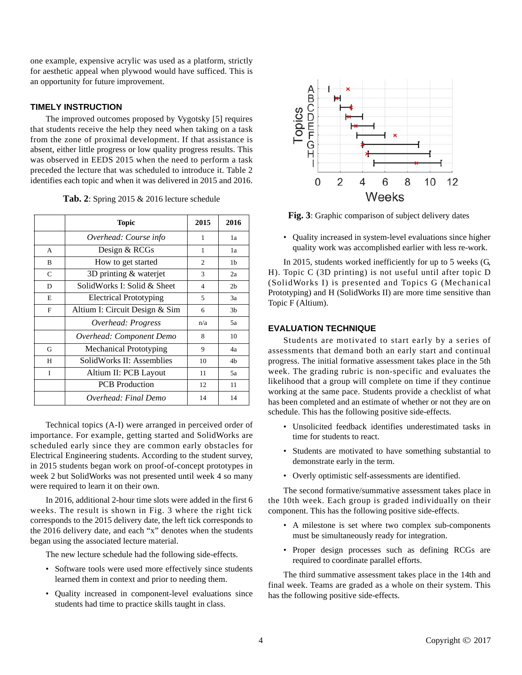one example, expensive acrylic was used as a platform, strictly for aesthetic appeal when plywood would have sufficed. This is an opportunity for future improvement.

## **TIMELY INSTRUCTION**

The improved outcomes proposed by Vygotsky [5] requires that students receive the help they need when taking on a task from the zone of proximal development. If that assistance is absent, either little progress or low quality progress results. This was observed in EEDS 2015 when the need to perform a task preceded the lecture that was scheduled to introduce it. Table 2 identifies each topic and when it was delivered in 2015 and 2016.

|  |  |  |  |  |  |  | Tab. 2: Spring 2015 & 2016 lecture schedule |
|--|--|--|--|--|--|--|---------------------------------------------|
|--|--|--|--|--|--|--|---------------------------------------------|

|   | <b>Topic</b>                   | 2015           | 2016           |
|---|--------------------------------|----------------|----------------|
|   | Overhead: Course info          | 1              | 1a             |
| A | Design & RCGs                  | 1              | 1a             |
| B | How to get started             | $\overline{c}$ | 1 <sub>b</sub> |
| C | 3D printing & waterjet         | 3              | 2a             |
| D | SolidWorks I: Solid & Sheet    | $\overline{4}$ | 2 <sub>b</sub> |
| E | <b>Electrical Prototyping</b>  | 5              | 3a             |
| F | Altium I: Circuit Design & Sim | 6              | 3 <sub>b</sub> |
|   | Overhead: Progress             | n/a            | 5a             |
|   | Overhead: Component Demo       | 8              | 10             |
| G | <b>Mechanical Prototyping</b>  | 9              | 4a             |
| H | SolidWorks II: Assemblies      | 10             | 4b             |
| I | Altium II: PCB Layout          | 11             | 5a             |
|   | <b>PCB</b> Production          | 12             | 11             |
|   | Overhead: Final Demo           | 14             | 14             |

Technical topics (A-I) were arranged in perceived order of importance. For example, getting started and SolidWorks are scheduled early since they are common early obstacles for Electrical Engineering students. According to the student survey, in 2015 students began work on proof-of-concept prototypes in week 2 but SolidWorks was not presented until week 4 so many were required to learn it on their own.

In 2016, additional 2-hour time slots were added in the first 6 weeks. The result is shown in Fig. 3 where the right tick corresponds to the 2015 delivery date, the left tick corresponds to the 2016 delivery date, and each "x" denotes when the students began using the associated lecture material.

The new lecture schedule had the following side-effects.

- Software tools were used more effectively since students learned them in context and prior to needing them.
- Quality increased in component-level evaluations since students had time to practice skills taught in class.



**Fig. 3**: Graphic comparison of subject delivery dates

• Quality increased in system-level evaluations since higher quality work was accomplished earlier with less re-work.

In 2015, students worked inefficiently for up to 5 weeks (G, H). Topic C (3D printing) is not useful until after topic D (SolidWorks I) is presented and Topics G (Mechanical Prototyping) and H (SolidWorks II) are more time sensitive than Topic F (Altium).

## **EVALUATION TECHNIQUE**

Students are motivated to start early by a series of assessments that demand both an early start and continual progress. The initial formative assessment takes place in the 5th week. The grading rubric is non-specific and evaluates the likelihood that a group will complete on time if they continue working at the same pace. Students provide a checklist of what has been completed and an estimate of whether or not they are on schedule. This has the following positive side-effects.

- Unsolicited feedback identifies underestimated tasks in time for students to react.
- Students are motivated to have something substantial to demonstrate early in the term.
- Overly optimistic self-assessments are identified.

The second formative/summative assessment takes place in the 10th week. Each group is graded individually on their component. This has the following positive side-effects.

- A milestone is set where two complex sub-components must be simultaneously ready for integration.
- Proper design processes such as defining RCGs are required to coordinate parallel efforts.

The third summative assessment takes place in the 14th and final week. Teams are graded as a whole on their system. This has the following positive side-effects.